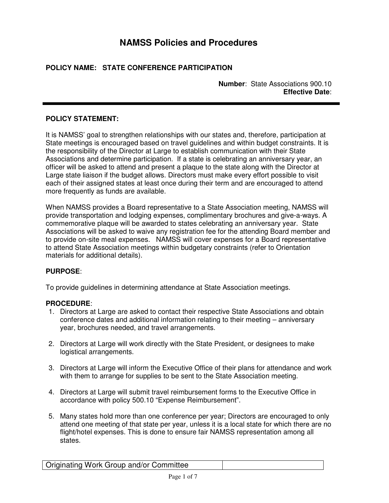# **NAMSS Policies and Procedures**

# **POLICY NAME: STATE CONFERENCE PARTICIPATION**

**Number**: State Associations 900.10 **Effective Date**:

# **POLICY STATEMENT:**

It is NAMSS' goal to strengthen relationships with our states and, therefore, participation at State meetings is encouraged based on travel guidelines and within budget constraints. It is the responsibility of the Director at Large to establish communication with their State Associations and determine participation. If a state is celebrating an anniversary year, an officer will be asked to attend and present a plaque to the state along with the Director at Large state liaison if the budget allows. Directors must make every effort possible to visit each of their assigned states at least once during their term and are encouraged to attend more frequently as funds are available.

When NAMSS provides a Board representative to a State Association meeting, NAMSS will provide transportation and lodging expenses, complimentary brochures and give-a-ways. A commemorative plaque will be awarded to states celebrating an anniversary year. State Associations will be asked to waive any registration fee for the attending Board member and to provide on-site meal expenses. NAMSS will cover expenses for a Board representative to attend State Association meetings within budgetary constraints (refer to Orientation materials for additional details).

# **PURPOSE**:

To provide guidelines in determining attendance at State Association meetings.

# **PROCEDURE**:

- 1. Directors at Large are asked to contact their respective State Associations and obtain conference dates and additional information relating to their meeting – anniversary year, brochures needed, and travel arrangements.
- 2. Directors at Large will work directly with the State President, or designees to make logistical arrangements.
- 3. Directors at Large will inform the Executive Office of their plans for attendance and work with them to arrange for supplies to be sent to the State Association meeting.
- 4. Directors at Large will submit travel reimbursement forms to the Executive Office in accordance with policy 500.10 "Expense Reimbursement".
- 5. Many states hold more than one conference per year; Directors are encouraged to only attend one meeting of that state per year, unless it is a local state for which there are no flight/hotel expenses. This is done to ensure fair NAMSS representation among all states.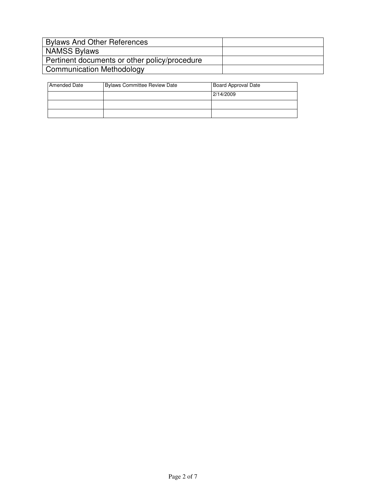| <b>Bylaws And Other References</b>            |  |
|-----------------------------------------------|--|
| <b>NAMSS Bylaws</b>                           |  |
| Pertinent documents or other policy/procedure |  |
| <b>Communication Methodology</b>              |  |

| Amended Date | <b>Bylaws Committee Review Date</b> | Board Approval Date |
|--------------|-------------------------------------|---------------------|
|              |                                     | 2/14/2009           |
|              |                                     |                     |
|              |                                     |                     |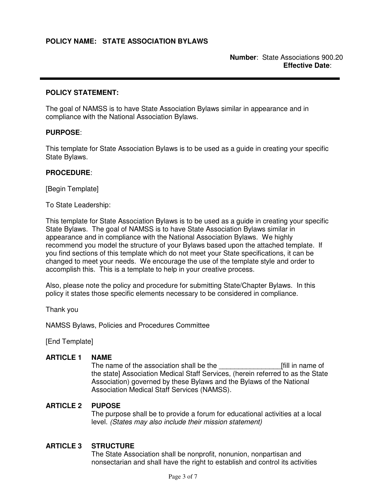#### **POLICY STATEMENT:**

The goal of NAMSS is to have State Association Bylaws similar in appearance and in compliance with the National Association Bylaws.

### **PURPOSE**:

This template for State Association Bylaws is to be used as a guide in creating your specific State Bylaws.

#### **PROCEDURE**:

[Begin Template]

To State Leadership:

This template for State Association Bylaws is to be used as a guide in creating your specific State Bylaws. The goal of NAMSS is to have State Association Bylaws similar in appearance and in compliance with the National Association Bylaws. We highly recommend you model the structure of your Bylaws based upon the attached template. If you find sections of this template which do not meet your State specifications, it can be changed to meet your needs. We encourage the use of the template style and order to accomplish this. This is a template to help in your creative process.

Also, please note the policy and procedure for submitting State/Chapter Bylaws. In this policy it states those specific elements necessary to be considered in compliance.

Thank you

NAMSS Bylaws, Policies and Procedures Committee

[End Template]

#### **ARTICLE 1 NAME**

The name of the association shall be the example of the name of the state] Association Medical Staff Services, (herein referred to as the State Association) governed by these Bylaws and the Bylaws of the National Association Medical Staff Services (NAMSS).

#### **ARTICLE 2 PUPOSE**

The purpose shall be to provide a forum for educational activities at a local level. (States may also include their mission statement)

#### **ARTICLE 3 STRUCTURE**

The State Association shall be nonprofit, nonunion, nonpartisan and nonsectarian and shall have the right to establish and control its activities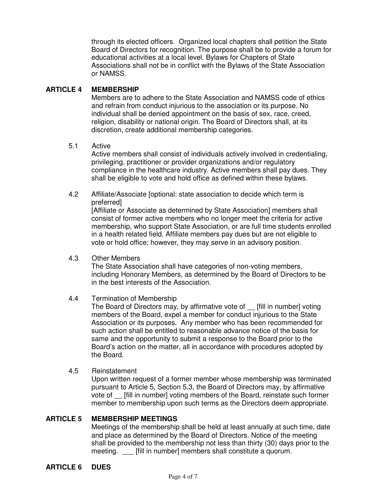through its elected officers. Organized local chapters shall petition the State Board of Directors for recognition. The purpose shall be to provide a forum for educational activities at a local level. Bylaws for Chapters of State Associations shall not be in conflict with the Bylaws of the State Association or NAMSS.

# **ARTICLE 4 MEMBERSHIP**

Members are to adhere to the State Association and NAMSS code of ethics and refrain from conduct injurious to the association or its purpose. No individual shall be denied appointment on the basis of sex, race, creed, religion, disability or national origin. The Board of Directors shall, at its discretion, create additional membership categories.

# 5.1 Active

Active members shall consist of individuals actively involved in credentialing, privileging, practitioner or provider organizations and/or regulatory compliance in the healthcare industry. Active members shall pay dues. They shall be eligible to vote and hold office as defined within these bylaws.

4.2 Affiliate/Associate [optional: state association to decide which term is preferred]

[Affiliate or Associate as determined by State Association] members shall consist of former active members who no longer meet the criteria for active membership, who support State Association, or are full time students enrolled in a health related field. Affiliate members pay dues but are not eligible to vote or hold office; however, they may serve in an advisory position.

4.3 Other Members

The State Association shall have categories of non-voting members, including Honorary Members, as determined by the Board of Directors to be in the best interests of the Association.

# 4.4 Termination of Membership

The Board of Directors may, by affirmative vote of \_\_ [fill in number] voting members of the Board, expel a member for conduct injurious to the State Association or its purposes. Any member who has been recommended for such action shall be entitled to reasonable advance notice of the basis for same and the opportunity to submit a response to the Board prior to the Board's action on the matter, all in accordance with procedures adopted by the Board.

#### 4.5 Reinstatement

Upon written request of a former member whose membership was terminated pursuant to Article 5, Section 5.3, the Board of Directors may, by affirmative vote of [fill in number] voting members of the Board, reinstate such former member to membership upon such terms as the Directors deem appropriate.

# **ARTICLE 5 MEMBERSHIP MEETINGS**

Meetings of the membership shall be held at least annually at such time, date and place as determined by the Board of Directors. Notice of the meeting shall be provided to the membership not less than thirty (30) days prior to the meeting. [fill in number] members shall constitute a quorum.

# **ARTICLE 6 DUES**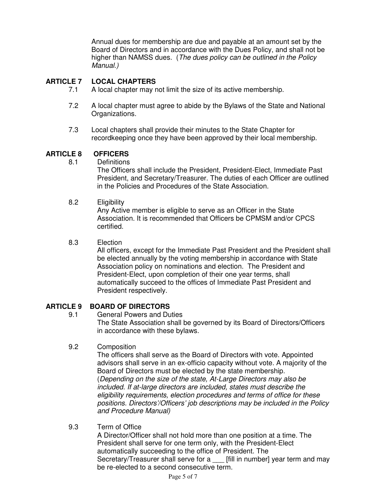Annual dues for membership are due and payable at an amount set by the Board of Directors and in accordance with the Dues Policy, and shall not be higher than NAMSS dues. (The dues policy can be outlined in the Policy Manual.)

# **ARTICLE 7 LOCAL CHAPTERS**

- 7.1 A local chapter may not limit the size of its active membership.
- 7.2 A local chapter must agree to abide by the Bylaws of the State and National Organizations.
- 7.3 Local chapters shall provide their minutes to the State Chapter for recordkeeping once they have been approved by their local membership.

# **ARTICLE 8 OFFICERS**

8.1 Definitions

The Officers shall include the President, President-Elect, Immediate Past President, and Secretary/Treasurer. The duties of each Officer are outlined in the Policies and Procedures of the State Association.

# 8.2 Eligibility

Any Active member is eligible to serve as an Officer in the State Association. It is recommended that Officers be CPMSM and/or CPCS certified.

### 8.3 Election

All officers, except for the Immediate Past President and the President shall be elected annually by the voting membership in accordance with State Association policy on nominations and election. The President and President-Elect, upon completion of their one year terms, shall automatically succeed to the offices of Immediate Past President and President respectively.

# **ARTICLE 9 BOARD OF DIRECTORS**

- 9.1 General Powers and Duties The State Association shall be governed by its Board of Directors/Officers in accordance with these bylaws.
- 9.2 Composition

The officers shall serve as the Board of Directors with vote. Appointed advisors shall serve in an ex-officio capacity without vote. A majority of the Board of Directors must be elected by the state membership. (Depending on the size of the state, At-Large Directors may also be included. If at-large directors are included, states must describe the eligibility requirements, election procedures and terms of office for these positions. Directors'/Officers' job descriptions may be included in the Policy and Procedure Manual)

# 9.3 Term of Office

A Director/Officer shall not hold more than one position at a time. The President shall serve for one term only, with the President-Elect automatically succeeding to the office of President. The Secretary/Treasurer shall serve for a \_\_\_ [fill in number] year term and may be re-elected to a second consecutive term.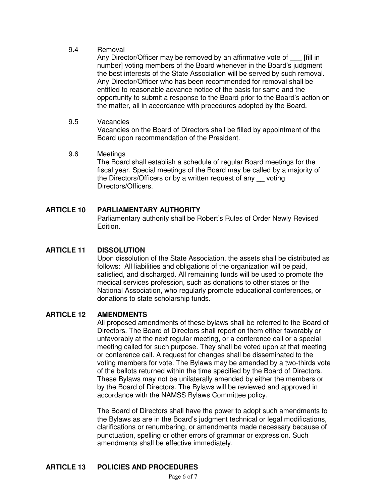### 9.4 Removal

Any Director/Officer may be removed by an affirmative vote of [fill in number] voting members of the Board whenever in the Board's judgment the best interests of the State Association will be served by such removal. Any Director/Officer who has been recommended for removal shall be entitled to reasonable advance notice of the basis for same and the opportunity to submit a response to the Board prior to the Board's action on the matter, all in accordance with procedures adopted by the Board.

### 9.5 Vacancies

Vacancies on the Board of Directors shall be filled by appointment of the Board upon recommendation of the President.

### 9.6 Meetings

The Board shall establish a schedule of regular Board meetings for the fiscal year. Special meetings of the Board may be called by a majority of the Directors/Officers or by a written request of any \_\_ voting Directors/Officers.

# **ARTICLE 10 PARLIAMENTARY AUTHORITY**

Parliamentary authority shall be Robert's Rules of Order Newly Revised Edition.

# **ARTICLE 11 DISSOLUTION**

Upon dissolution of the State Association, the assets shall be distributed as follows: All liabilities and obligations of the organization will be paid, satisfied, and discharged. All remaining funds will be used to promote the medical services profession, such as donations to other states or the National Association, who regularly promote educational conferences, or donations to state scholarship funds.

# **ARTICLE 12 AMENDMENTS**

All proposed amendments of these bylaws shall be referred to the Board of Directors. The Board of Directors shall report on them either favorably or unfavorably at the next regular meeting, or a conference call or a special meeting called for such purpose. They shall be voted upon at that meeting or conference call. A request for changes shall be disseminated to the voting members for vote. The Bylaws may be amended by a two-thirds vote of the ballots returned within the time specified by the Board of Directors. These Bylaws may not be unilaterally amended by either the members or by the Board of Directors. The Bylaws will be reviewed and approved in accordance with the NAMSS Bylaws Committee policy.

The Board of Directors shall have the power to adopt such amendments to the Bylaws as are in the Board's judgment technical or legal modifications, clarifications or renumbering, or amendments made necessary because of punctuation, spelling or other errors of grammar or expression. Such amendments shall be effective immediately.

# **ARTICLE 13 POLICIES AND PROCEDURES**